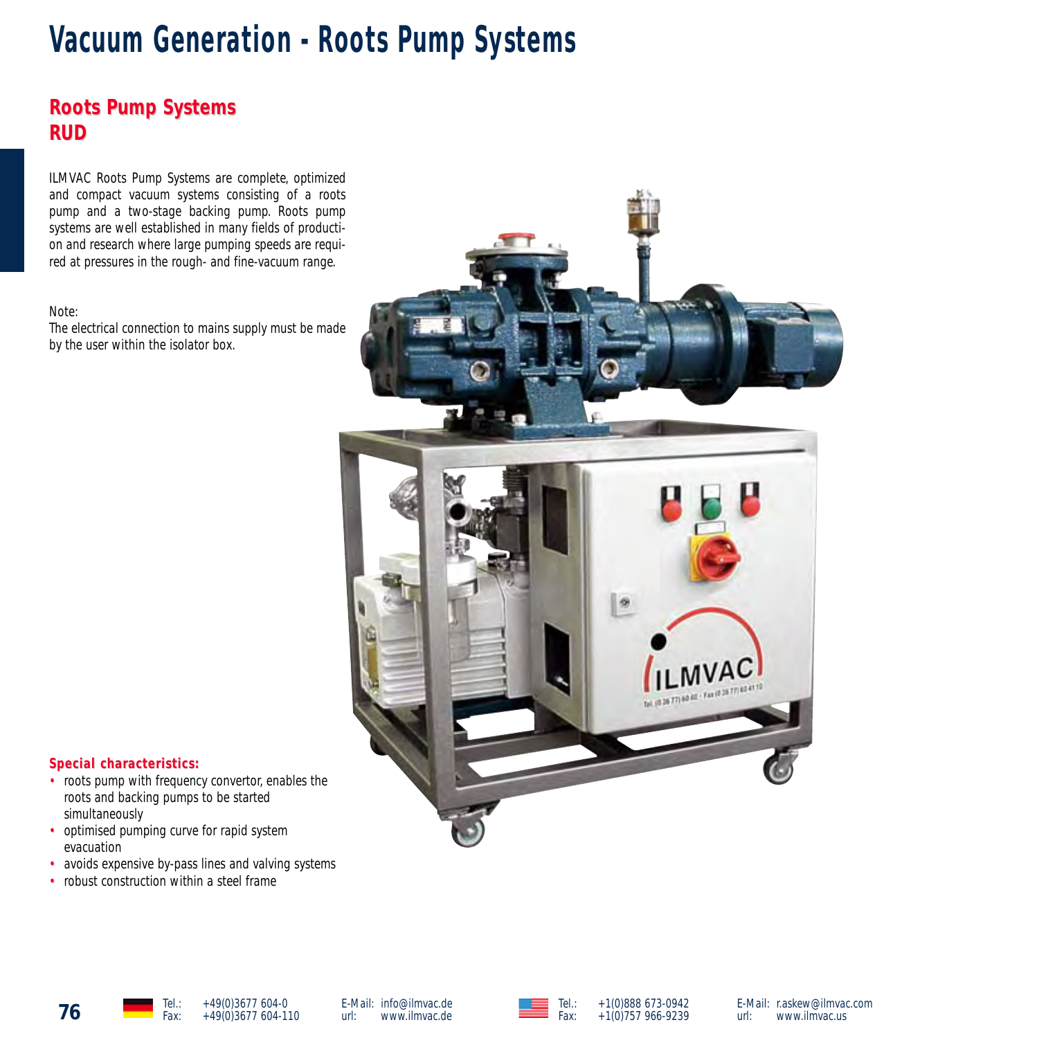# **Vacuum Generation - Roots Pump Systems**

# **Roots Pump Systems Roots Pump Systems RUD**

ILMVAC Roots Pump Systems are complete, optimized and compact vacuum systems consisting of a roots pump and a two-stage backing pump. Roots pump systems are well established in many fields of production and research where large pumping speeds are required at pressures in the rough- and fine-vacuum range.

#### Note:

The electrical connection to mains supply must be made by the user within the isolator box.



#### $Special characteristics:$

- roots pump with frequency convertor, enables the roots and backing pumps to be started simultaneously
- optimised pumping curve for rapid system evacuation
- avoids expensive by-pass lines and valving systems
- robust construction within a steel frame



**76** Tel.: +49(0)3677 604-0<br>Fax: +49(0)3677 604-110

E-Mail: info@ilmvac.de<br>url: www.ilmvac.de www.ilmvac.de





E-Mail: r.askew@ilmvac.com<br>url: www.ilmvac.us www.ilmvac.us